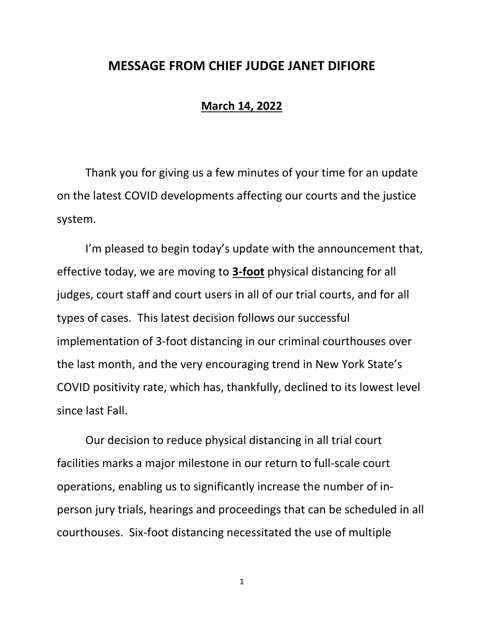## **MESSAGE FROM CHIEF JUDGE JANET DIFIORE**

## **March 14, 2022**

Thank you for giving us a few minutes of your time for an update on the latest COVID developments affecting our courts and the justice system.

I'm pleased to begin today's update with the announcement that, effective today, we are moving to **3-foot** physical distancing for all judges, court staff and court users in all of our trial courts, and for all types of cases. This latest decision follows our successful implementation of 3-foot distancing in our criminal courthouses over the last month, and the very encouraging trend in New York State's COVID positivity rate, which has, thankfully, declined to its lowest level since last Fall.

Our decision to reduce physical distancing in all trial court facilities marks a major milestone in our return to full-scale court operations, enabling us to significantly increase the number of inperson jury trials, hearings and proceedings that can be scheduled in all courthouses. Six-foot distancing necessitated the use of multiple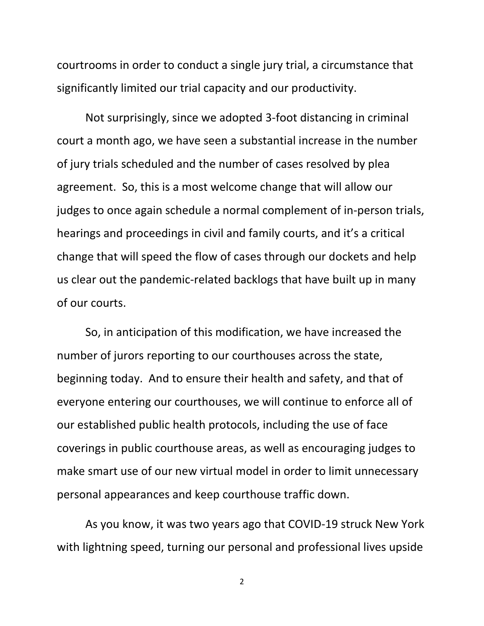courtrooms in order to conduct a single jury trial, a circumstance that significantly limited our trial capacity and our productivity.

Not surprisingly, since we adopted 3-foot distancing in criminal court a month ago, we have seen a substantial increase in the number of jury trials scheduled and the number of cases resolved by plea agreement. So, this is a most welcome change that will allow our judges to once again schedule a normal complement of in-person trials, hearings and proceedings in civil and family courts, and it's a critical change that will speed the flow of cases through our dockets and help us clear out the pandemic-related backlogs that have built up in many of our courts.

So, in anticipation of this modification, we have increased the number of jurors reporting to our courthouses across the state, beginning today. And to ensure their health and safety, and that of everyone entering our courthouses, we will continue to enforce all of our established public health protocols, including the use of face coverings in public courthouse areas, as well as encouraging judges to make smart use of our new virtual model in order to limit unnecessary personal appearances and keep courthouse traffic down.

As you know, it was two years ago that COVID-19 struck New York with lightning speed, turning our personal and professional lives upside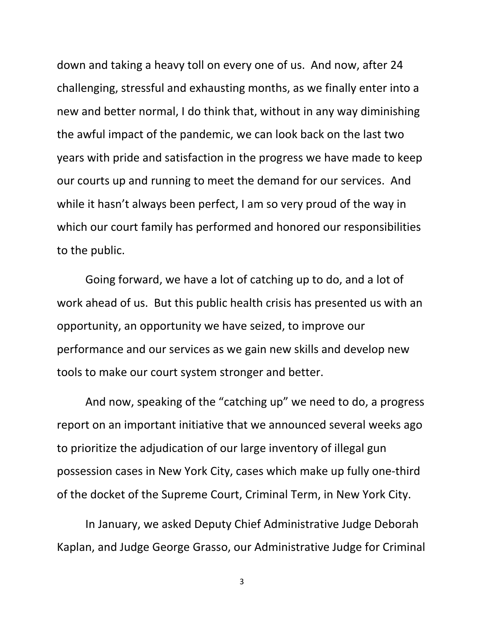down and taking a heavy toll on every one of us. And now, after 24 challenging, stressful and exhausting months, as we finally enter into a new and better normal, I do think that, without in any way diminishing the awful impact of the pandemic, we can look back on the last two years with pride and satisfaction in the progress we have made to keep our courts up and running to meet the demand for our services. And while it hasn't always been perfect, I am so very proud of the way in which our court family has performed and honored our responsibilities to the public.

Going forward, we have a lot of catching up to do, and a lot of work ahead of us. But this public health crisis has presented us with an opportunity, an opportunity we have seized, to improve our performance and our services as we gain new skills and develop new tools to make our court system stronger and better.

And now, speaking of the "catching up" we need to do, a progress report on an important initiative that we announced several weeks ago to prioritize the adjudication of our large inventory of illegal gun possession cases in New York City, cases which make up fully one-third of the docket of the Supreme Court, Criminal Term, in New York City.

In January, we asked Deputy Chief Administrative Judge Deborah Kaplan, and Judge George Grasso, our Administrative Judge for Criminal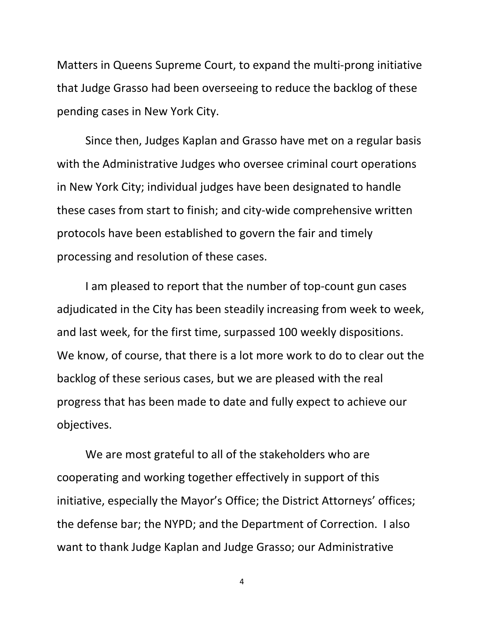Matters in Queens Supreme Court, to expand the multi-prong initiative that Judge Grasso had been overseeing to reduce the backlog of these pending cases in New York City.

Since then, Judges Kaplan and Grasso have met on a regular basis with the Administrative Judges who oversee criminal court operations in New York City; individual judges have been designated to handle these cases from start to finish; and city-wide comprehensive written protocols have been established to govern the fair and timely processing and resolution of these cases.

I am pleased to report that the number of top-count gun cases adjudicated in the City has been steadily increasing from week to week, and last week, for the first time, surpassed 100 weekly dispositions. We know, of course, that there is a lot more work to do to clear out the backlog of these serious cases, but we are pleased with the real progress that has been made to date and fully expect to achieve our objectives.

We are most grateful to all of the stakeholders who are cooperating and working together effectively in support of this initiative, especially the Mayor's Office; the District Attorneys' offices; the defense bar; the NYPD; and the Department of Correction. I also want to thank Judge Kaplan and Judge Grasso; our Administrative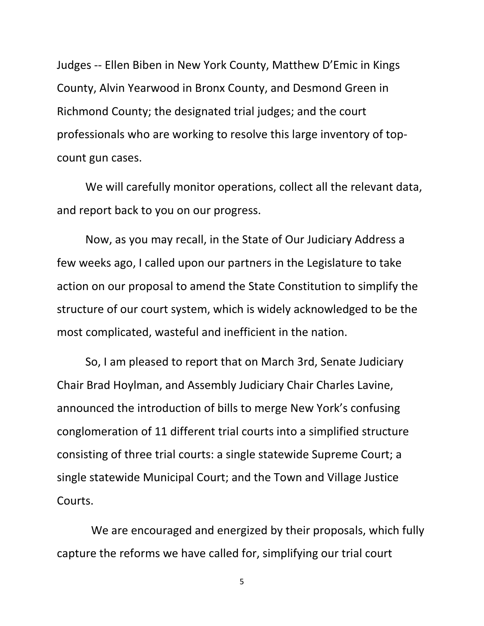Judges -- Ellen Biben in New York County, Matthew D'Emic in Kings County, Alvin Yearwood in Bronx County, and Desmond Green in Richmond County; the designated trial judges; and the court professionals who are working to resolve this large inventory of topcount gun cases.

We will carefully monitor operations, collect all the relevant data, and report back to you on our progress.

Now, as you may recall, in the State of Our Judiciary Address a few weeks ago, I called upon our partners in the Legislature to take action on our proposal to amend the State Constitution to simplify the structure of our court system, which is widely acknowledged to be the most complicated, wasteful and inefficient in the nation.

So, I am pleased to report that on March 3rd, Senate Judiciary Chair Brad Hoylman, and Assembly Judiciary Chair Charles Lavine, announced the introduction of bills to merge New York's confusing conglomeration of 11 different trial courts into a simplified structure consisting of three trial courts: a single statewide Supreme Court; a single statewide Municipal Court; and the Town and Village Justice Courts.

 We are encouraged and energized by their proposals, which fully capture the reforms we have called for, simplifying our trial court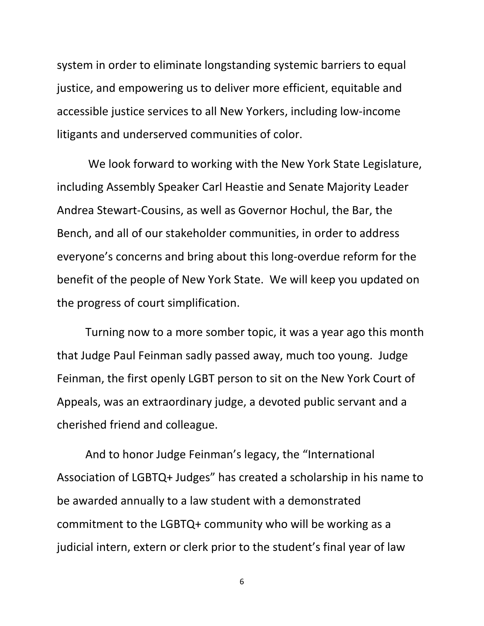system in order to eliminate longstanding systemic barriers to equal justice, and empowering us to deliver more efficient, equitable and accessible justice services to all New Yorkers, including low-income litigants and underserved communities of color.

We look forward to working with the New York State Legislature, including Assembly Speaker Carl Heastie and Senate Majority Leader Andrea Stewart-Cousins, as well as Governor Hochul, the Bar, the Bench, and all of our stakeholder communities, in order to address everyone's concerns and bring about this long-overdue reform for the benefit of the people of New York State. We will keep you updated on the progress of court simplification.

Turning now to a more somber topic, it was a year ago this month that Judge Paul Feinman sadly passed away, much too young. Judge Feinman, the first openly LGBT person to sit on the New York Court of Appeals, was an extraordinary judge, a devoted public servant and a cherished friend and colleague.

And to honor Judge Feinman's legacy, the "International Association of LGBTQ+ Judges" has created a scholarship in his name to be awarded annually to a law student with a demonstrated commitment to the LGBTQ+ community who will be working as a judicial intern, extern or clerk prior to the student's final year of law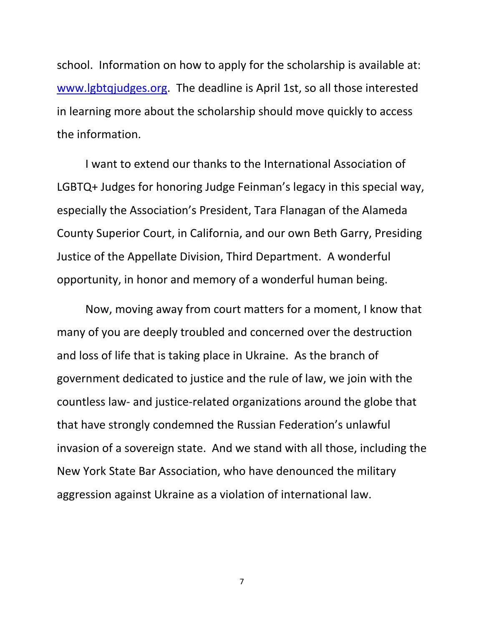school. Information on how to apply for the scholarship is available at: [www.lgbtqjudges.org.](http://www.lgbtqjudges.org/) The deadline is April 1st, so all those interested in learning more about the scholarship should move quickly to access the information.

I want to extend our thanks to the International Association of LGBTQ+ Judges for honoring Judge Feinman's legacy in this special way, especially the Association's President, Tara Flanagan of the Alameda County Superior Court, in California, and our own Beth Garry, Presiding Justice of the Appellate Division, Third Department. A wonderful opportunity, in honor and memory of a wonderful human being.

Now, moving away from court matters for a moment, I know that many of you are deeply troubled and concerned over the destruction and loss of life that is taking place in Ukraine. As the branch of government dedicated to justice and the rule of law, we join with the countless law- and justice-related organizations around the globe that that have strongly condemned the Russian Federation's unlawful invasion of a sovereign state. And we stand with all those, including the New York State Bar Association, who have denounced the military aggression against Ukraine as a violation of international law.